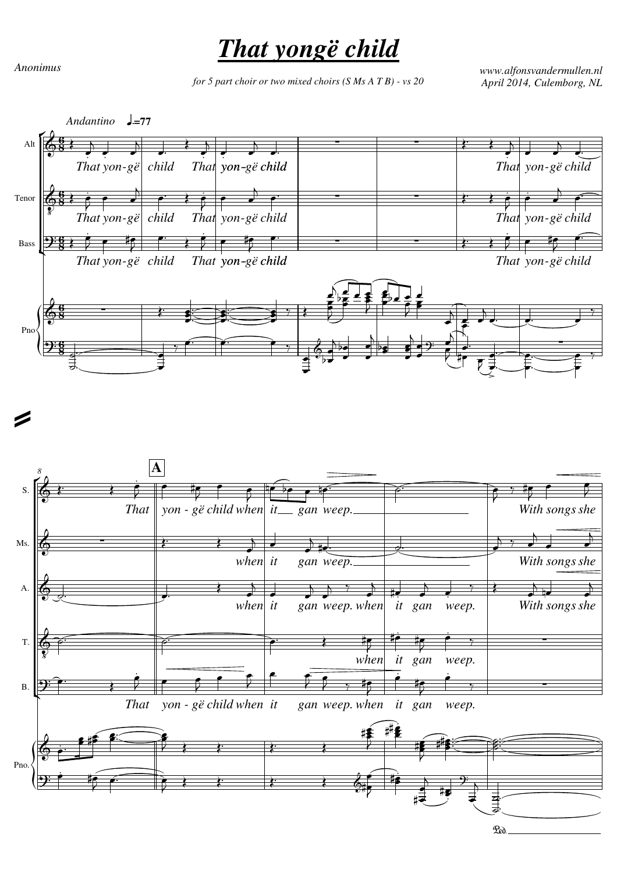*Anonimus*

## *That yongë child*

*for 5 part choir or two mixed choirs (S Ms A T B) - vs 20*

*www.alfonsvandermullen.nl April 2014, Culemborg, NL*

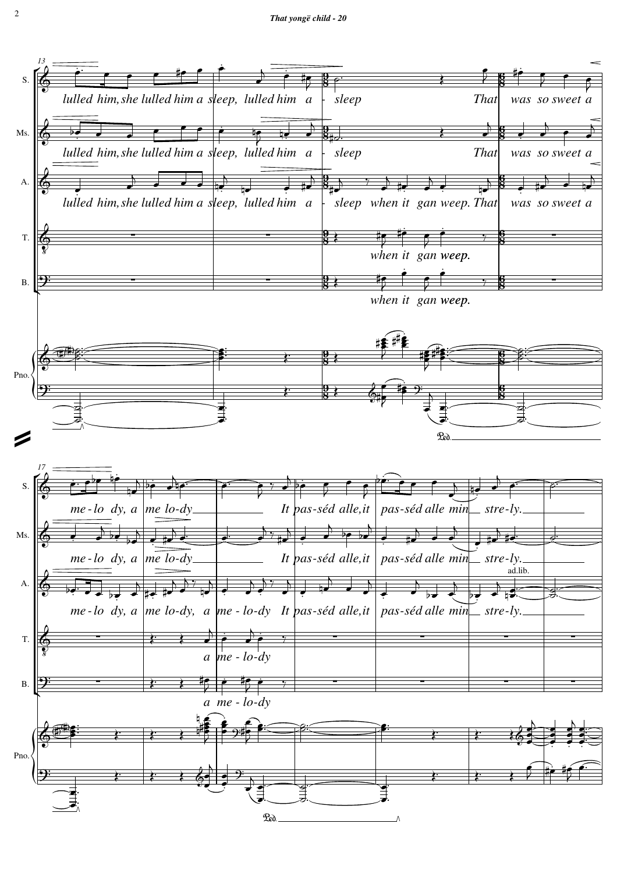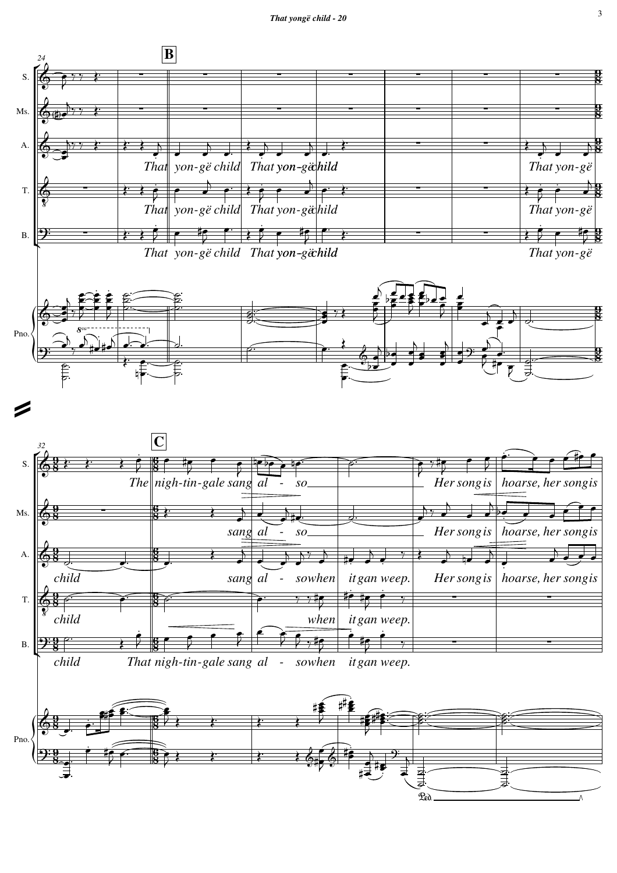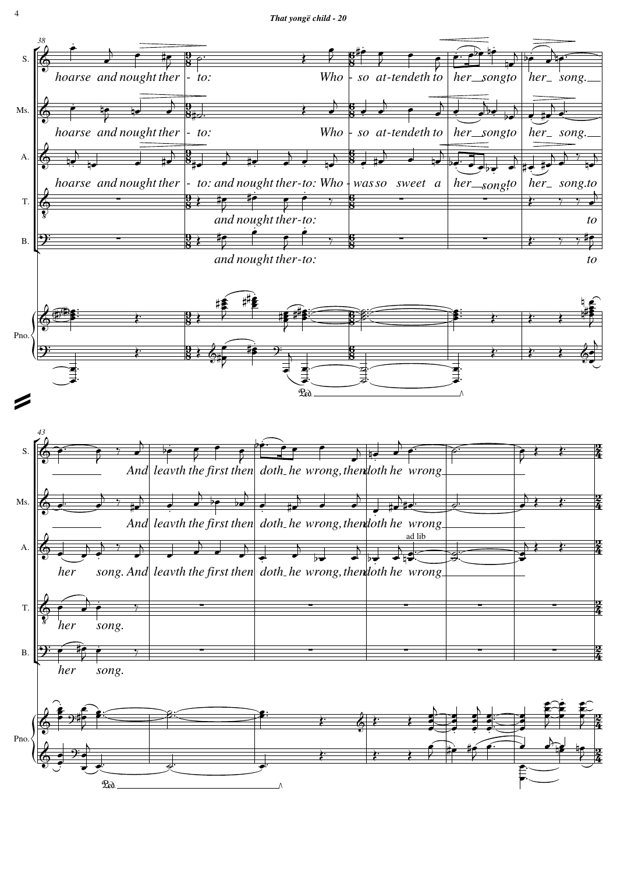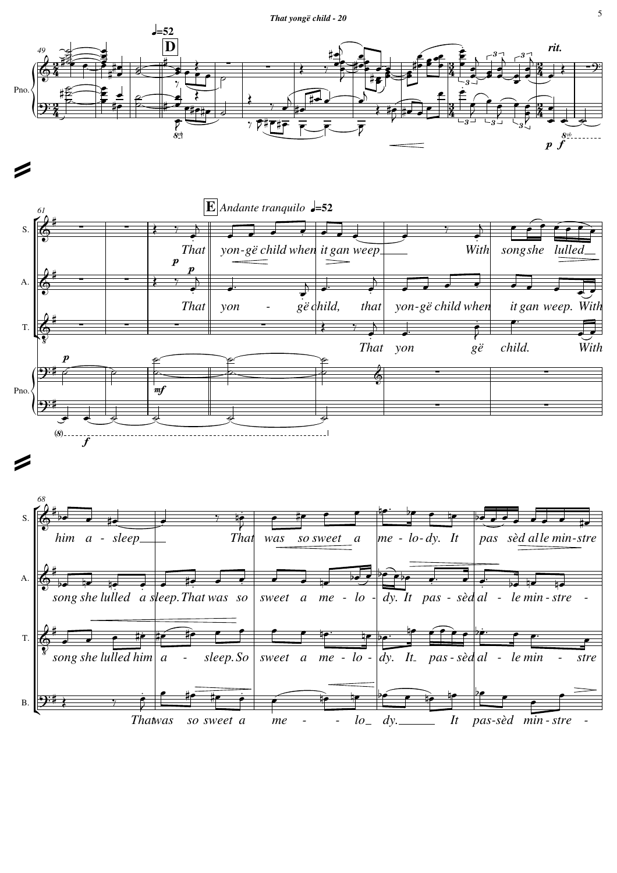*That yongë child - 20* 5



Ø



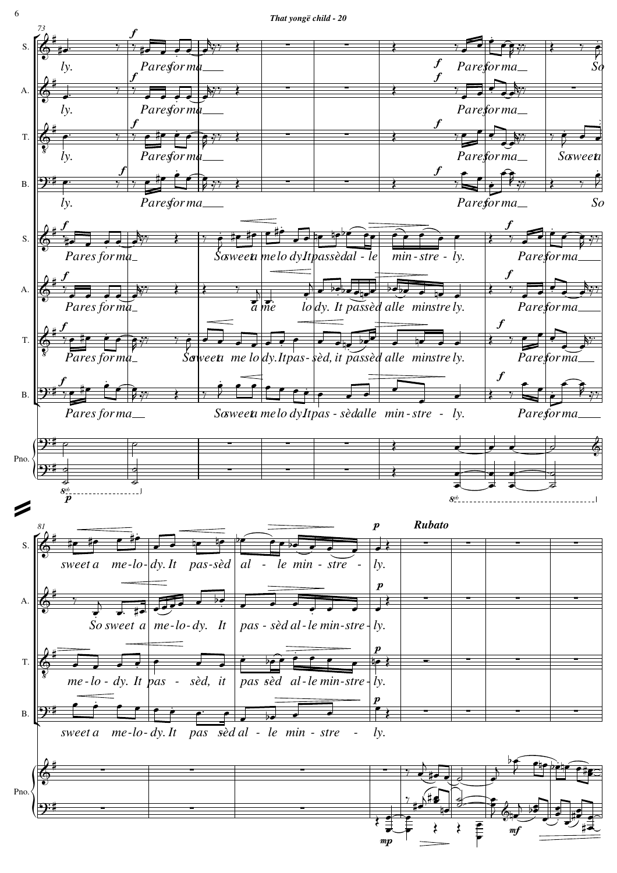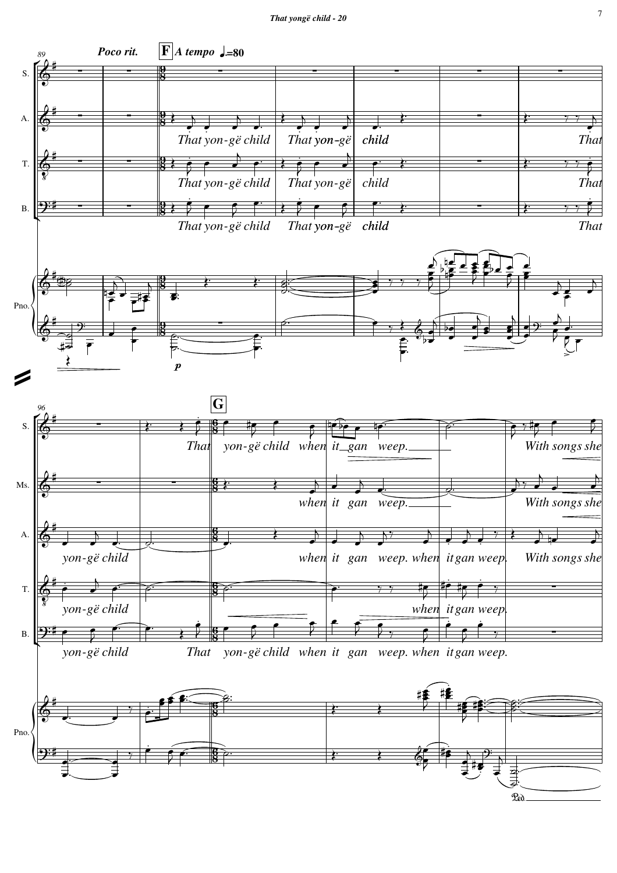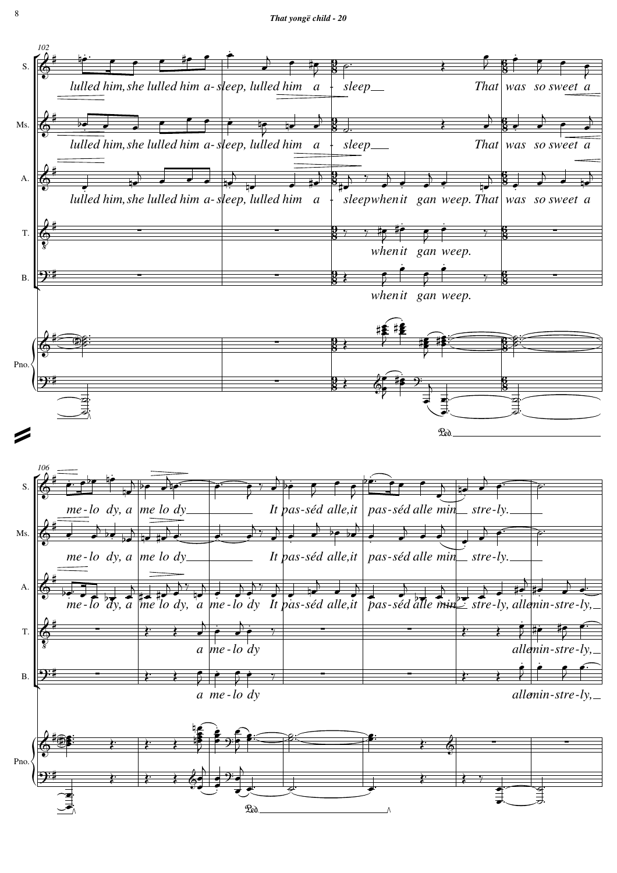